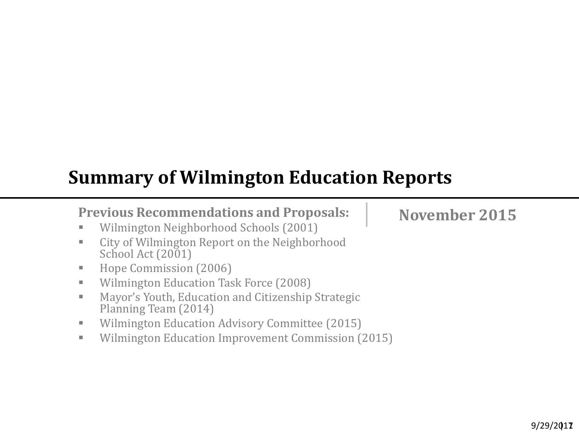# **Summary of Wilmington Education Reports**

## **Previous Recommendations and Proposals:**

- **Wilmington Neighborhood Schools (2001)**
- **EXECT:** City of Wilmington Report on the Neighborhood School Act (2001)
- Hope Commission (2006)
- **Wilmington Education Task Force (2008)**
- **Mayor's Youth, Education and Citizenship Strategic** Planning Team (2014)
- **Wilmington Education Advisory Committee (2015)**
- **Wilmington Education Improvement Commission (2015)**

**November 2015**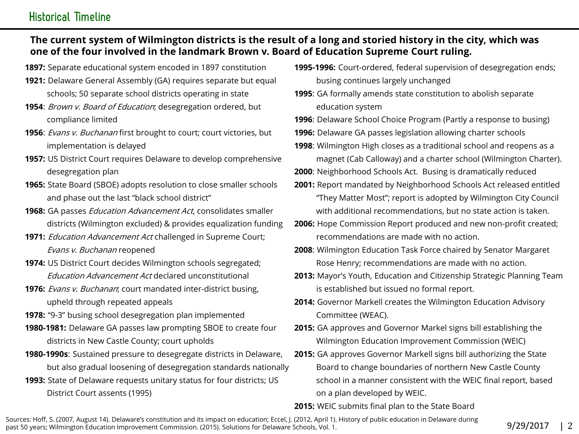### **Historical Timeline**

### The current system of Wilmington districts is the result of a long and storied history in the city, which was one of the four involved in the landmark Brown v. Board of Education Supreme Court ruling.

- 1897: Separate educational system encoded in 1897 constitution
- 1921: Delaware General Assembly (GA) requires separate but equal schools; 50 separate school districts operating in state
- 1954: Brown v. Board of Education; desegregation ordered, but compliance limited
- 1956: *Evans v. Buchanan* first brought to court; court victories, but implementation is delayed
- 1957: US District Court requires Delaware to develop comprehensive desegregation plan
- 1965: State Board (SBOE) adopts resolution to close smaller schools and phase out the last "black school district"
- 1968: GA passes *Education Advancement Act*, consolidates smaller districts (Wilmington excluded) & provides equalization funding
- 1971: *Education Advancement Act* challenged in Supreme Court; Evans v. Buchanan reopened
- 1974: US District Court decides Wilmington schools segregated; Education Advancement Act declared unconstitutional
- 1976: Evans v. Buchanan; court mandated inter-district busing, upheld through repeated appeals
- 1978: "9-3" busing school desegregation plan implemented
- 1980-1981: Delaware GA passes law prompting SBOE to create four districts in New Castle County; court upholds
- 1980-1990s: Sustained pressure to desegregate districts in Delaware, but also gradual loosening of desegregation standards nationally
- 1993: State of Delaware requests unitary status for four districts; US District Court assents (1995)
- 1995-1996: Court-ordered, federal supervision of desegregation ends; busing continues largely unchanged
- 1995: GA formally amends state constitution to abolish separate education system

1996: Delaware School Choice Program (Partly a response to busing)

- 1996: Delaware GA passes legislation allowing charter schools
- 1998: Wilmington High closes as a traditional school and reopens as a magnet (Cab Calloway) and a charter school (Wilmington Charter).
- 2000: Neighborhood Schools Act. Busing is dramatically reduced
- 2001: Report mandated by Neighborhood Schools Act released entitled "They Matter Most"; report is adopted by Wilmington City Council with additional recommendations, but no state action is taken.
- 2006: Hope Commission Report produced and new non-profit created; recommendations are made with no action.
- 2008: Wilmington Education Task Force chaired by Senator Margaret Rose Henry; recommendations are made with no action.
- 2013: Mayor's Youth, Education and Citizenship Strategic Planning Team is established but issued no formal report.
- 2014: Governor Markell creates the Wilmington Education Advisory Committee (WEAC).
- 2015: GA approves and Governor Markel signs bill establishing the Wilmington Education Improvement Commission (WEIC)
- 2015: GA approves Governor Markell signs bill authorizing the State Board to change boundaries of northern New Castle County school in a manner consistent with the WEIC final report, based on a plan developed by WEIC.

#### 2015: WEIC submits final plan to the State Board

Sources: Hoff, S. (2007, August 14). Delaware's constitution and its impact on education; Eccel, J. (2012, April 1). History of public education in Delaware during past 50 years; Wilmington Education Improvement Commission. (2015). Solutions for Delaware Schools, Vol. 1.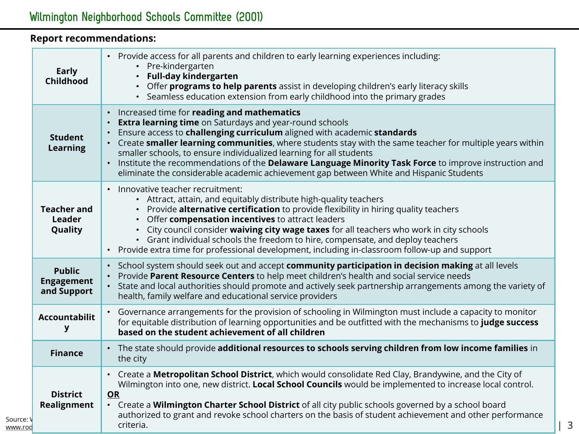### Report recommendations:

|                      | <b>Early</b><br><b>Childhood</b>                  | Provide access for all parents and children to early learning experiences including:<br>$\bullet$<br>• Pre-kindergarten<br><b>Full-day kindergarten</b><br>Offer programs to help parents assist in developing children's early literacy skills<br>• Seamless education extension from early childhood into the primary grades                                                                                                                                                                                                                                                                                                                  |
|----------------------|---------------------------------------------------|-------------------------------------------------------------------------------------------------------------------------------------------------------------------------------------------------------------------------------------------------------------------------------------------------------------------------------------------------------------------------------------------------------------------------------------------------------------------------------------------------------------------------------------------------------------------------------------------------------------------------------------------------|
|                      | <b>Student</b><br><b>Learning</b>                 | Increased time for reading and mathematics<br>$\bullet$<br><b>Extra learning time</b> on Saturdays and year-round schools<br>$\bullet$<br>Ensure access to challenging curriculum aligned with academic standards<br>$\bullet$<br>Create smaller learning communities, where students stay with the same teacher for multiple years within<br>$\bullet$<br>smaller schools, to ensure individualized learning for all students<br>Institute the recommendations of the Delaware Language Minority Task Force to improve instruction and<br>$\bullet$<br>eliminate the considerable academic achievement gap between White and Hispanic Students |
|                      | <b>Teacher and</b><br>Leader<br>Quality           | Innovative teacher recruitment:<br>$\bullet$<br>• Attract, attain, and equitably distribute high-quality teachers<br>• Provide alternative certification to provide flexibility in hiring quality teachers<br>• Offer compensation incentives to attract leaders<br>• City council consider waiving city wage taxes for all teachers who work in city schools<br>• Grant individual schools the freedom to hire, compensate, and deploy teachers<br>Provide extra time for professional development, including in-classroom follow-up and support<br>$\bullet$                                                                                  |
|                      | <b>Public</b><br><b>Engagement</b><br>and Support | School system should seek out and accept community participation in decision making at all levels<br>$\bullet$<br>Provide Parent Resource Centers to help meet children's health and social service needs<br>$\bullet$<br>State and local authorities should promote and actively seek partnership arrangements among the variety of<br>$\bullet$<br>health, family welfare and educational service providers                                                                                                                                                                                                                                   |
|                      | <b>Accountabilit</b><br>У                         | Governance arrangements for the provision of schooling in Wilmington must include a capacity to monitor<br>for equitable distribution of learning opportunities and be outfitted with the mechanisms to judge success<br>based on the student achievement of all children                                                                                                                                                                                                                                                                                                                                                                       |
|                      | <b>Finance</b>                                    | The state should provide additional resources to schools serving children from low income families in<br>the city                                                                                                                                                                                                                                                                                                                                                                                                                                                                                                                               |
| Source: V<br>www.rod | <b>District</b><br>Realignment                    | Create a Metropolitan School District, which would consolidate Red Clay, Brandywine, and the City of<br>Wilmington into one, new district. Local School Councils would be implemented to increase local control.<br>OR<br>• Create a Wilmington Charter School District of all city public schools governed by a school board<br>authorized to grant and revoke school charters on the basis of student achievement and other performance<br>criteria.                                                                                                                                                                                          |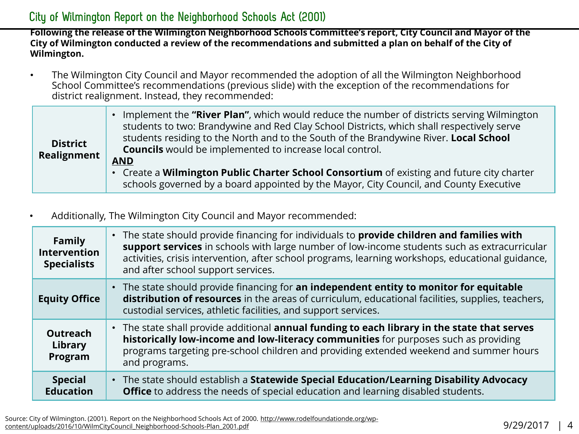### City of Wilmington Report on the Neighborhood Schools Act (2001)

Following the release of the Wilmington Neighborhood Schools Committee's report, City Council and Mayor of the City of Wilmington conducted a review of the recommendations and submitted a plan on behalf of the City of Wilmington.

• The Wilmington City Council and Mayor recommended the adoption of all the Wilmington Neighborhood School Committee's recommendations (previous slide) with the exception of the recommendations for district realignment. Instead, they recommended:

| <b>District</b><br>Realignment | • Implement the "River Plan", which would reduce the number of districts serving Wilmington<br>students to two: Brandywine and Red Clay School Districts, which shall respectively serve<br>students residing to the North and to the South of the Brandywine River. Local School<br><b>Councils</b> would be implemented to increase local control.<br><b>AND</b> |
|--------------------------------|--------------------------------------------------------------------------------------------------------------------------------------------------------------------------------------------------------------------------------------------------------------------------------------------------------------------------------------------------------------------|
|                                | • Create a Wilmington Public Charter School Consortium of existing and future city charter<br>schools governed by a board appointed by the Mayor, City Council, and County Executive                                                                                                                                                                               |

• Additionally, The Wilmington City Council and Mayor recommended:

| <b>Family</b><br><b>Intervention</b><br><b>Specialists</b> | • The state should provide financing for individuals to provide children and families with<br>support services in schools with large number of low-income students such as extracurricular<br>activities, crisis intervention, after school programs, learning workshops, educational guidance,<br>and after school support services. |
|------------------------------------------------------------|---------------------------------------------------------------------------------------------------------------------------------------------------------------------------------------------------------------------------------------------------------------------------------------------------------------------------------------|
| <b>Equity Office</b>                                       | • The state should provide financing for an independent entity to monitor for equitable<br>distribution of resources in the areas of curriculum, educational facilities, supplies, teachers,<br>custodial services, athletic facilities, and support services.                                                                        |
| <b>Outreach</b><br>Library<br>Program                      | . The state shall provide additional annual funding to each library in the state that serves<br>historically low-income and low-literacy communities for purposes such as providing<br>programs targeting pre-school children and providing extended weekend and summer hours<br>and programs.                                        |
| <b>Special</b><br><b>Education</b>                         | • The state should establish a Statewide Special Education/Learning Disability Advocacy<br>Office to address the needs of special education and learning disabled students.                                                                                                                                                           |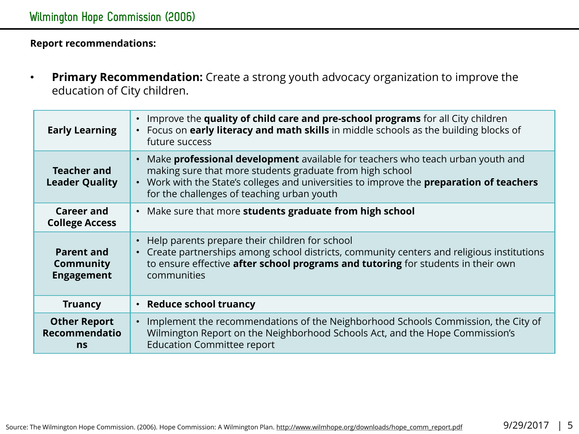Report recommendations:

• Primary Recommendation: Create a strong youth advocacy organization to improve the education of City children.

| Improve the quality of child care and pre-school programs for all City children<br>Focus on early literacy and math skills in middle schools as the building blocks of<br>$\bullet$<br>future success                                                                                       |
|---------------------------------------------------------------------------------------------------------------------------------------------------------------------------------------------------------------------------------------------------------------------------------------------|
| Make <b>professional development</b> available for teachers who teach urban youth and<br>making sure that more students graduate from high school<br>• Work with the State's colleges and universities to improve the preparation of teachers<br>for the challenges of teaching urban youth |
| • Make sure that more students graduate from high school                                                                                                                                                                                                                                    |
| Help parents prepare their children for school<br>$\bullet$<br>Create partnerships among school districts, community centers and religious institutions<br>to ensure effective after school programs and tutoring for students in their own<br>communities                                  |
| • Reduce school truancy                                                                                                                                                                                                                                                                     |
| Implement the recommendations of the Neighborhood Schools Commission, the City of<br>Wilmington Report on the Neighborhood Schools Act, and the Hope Commission's<br><b>Education Committee report</b>                                                                                      |
|                                                                                                                                                                                                                                                                                             |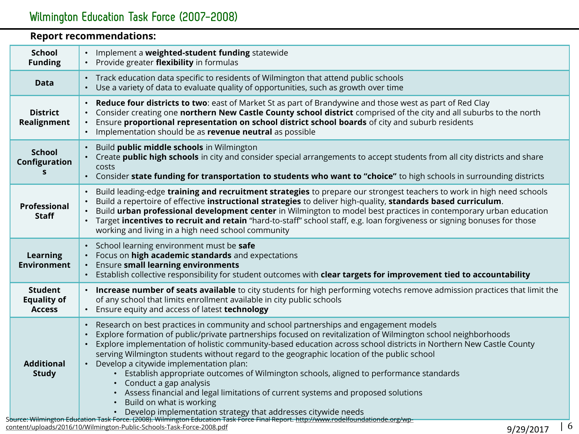| <b>Report recommendations:</b>                        |                                                                                                                                                                                                                                                                                                                                                                                                                                                                                                                                                                                                                                                                                                                                                                                                                                                                                                                                                 |  |
|-------------------------------------------------------|-------------------------------------------------------------------------------------------------------------------------------------------------------------------------------------------------------------------------------------------------------------------------------------------------------------------------------------------------------------------------------------------------------------------------------------------------------------------------------------------------------------------------------------------------------------------------------------------------------------------------------------------------------------------------------------------------------------------------------------------------------------------------------------------------------------------------------------------------------------------------------------------------------------------------------------------------|--|
| <b>School</b><br><b>Funding</b>                       | Implement a weighted-student funding statewide<br>Provide greater flexibility in formulas                                                                                                                                                                                                                                                                                                                                                                                                                                                                                                                                                                                                                                                                                                                                                                                                                                                       |  |
| <b>Data</b>                                           | • Track education data specific to residents of Wilmington that attend public schools<br>Use a variety of data to evaluate quality of opportunities, such as growth over time<br>$\bullet$                                                                                                                                                                                                                                                                                                                                                                                                                                                                                                                                                                                                                                                                                                                                                      |  |
| <b>District</b><br>Realignment                        | Reduce four districts to two: east of Market St as part of Brandywine and those west as part of Red Clay<br>$\bullet$<br>Consider creating one northern New Castle County school district comprised of the city and all suburbs to the north<br>$\bullet$<br>Ensure proportional representation on school district school boards of city and suburb residents<br>$\bullet$<br>Implementation should be as revenue neutral as possible                                                                                                                                                                                                                                                                                                                                                                                                                                                                                                           |  |
| <b>School</b><br>Configuration<br>S                   | Build public middle schools in Wilmington<br>Create public high schools in city and consider special arrangements to accept students from all city districts and share<br>$\bullet$<br>costs<br>Consider state funding for transportation to students who want to "choice" to high schools in surrounding districts<br>$\bullet$                                                                                                                                                                                                                                                                                                                                                                                                                                                                                                                                                                                                                |  |
| <b>Professional</b><br><b>Staff</b>                   | Build leading-edge training and recruitment strategies to prepare our strongest teachers to work in high need schools<br>Build a repertoire of effective instructional strategies to deliver high-quality, standards based curriculum.<br>Build urban professional development center in Wilmington to model best practices in contemporary urban education<br>$\bullet$<br>Target incentives to recruit and retain "hard-to-staff" school staff, e.g. loan forgiveness or signing bonuses for those<br>working and living in a high need school community                                                                                                                                                                                                                                                                                                                                                                                      |  |
| <b>Learning</b><br><b>Environment</b>                 | School learning environment must be safe<br>Focus on high academic standards and expectations<br>$\bullet$<br>Ensure small learning environments<br>$\bullet$<br>Establish collective responsibility for student outcomes with clear targets for improvement tied to accountability                                                                                                                                                                                                                                                                                                                                                                                                                                                                                                                                                                                                                                                             |  |
| <b>Student</b><br><b>Equality of</b><br><b>Access</b> | . Increase number of seats available to city students for high performing votechs remove admission practices that limit the<br>of any school that limits enrollment available in city public schools<br>Ensure equity and access of latest technology                                                                                                                                                                                                                                                                                                                                                                                                                                                                                                                                                                                                                                                                                           |  |
| <b>Additional</b><br><b>Study</b>                     | Research on best practices in community and school partnerships and engagement models<br>Explore formation of public/private partnerships focused on revitalization of Wilmington school neighborhoods<br>Explore implementation of holistic community-based education across school districts in Northern New Castle County<br>$\bullet$<br>serving Wilmington students without regard to the geographic location of the public school<br>Develop a citywide implementation plan:<br>$\bullet$<br>Establish appropriate outcomes of Wilmington schools, aligned to performance standards<br>Conduct a gap analysis<br>• Assess financial and legal limitations of current systems and proposed solutions<br>Build on what is working<br>• Develop implementation strategy that addresses citywide needs<br>Source: Wilmington Education Task Force. (2008). Wilmington Education Task Force Final Report. http://www.rodelfoundationde.org/wp- |  |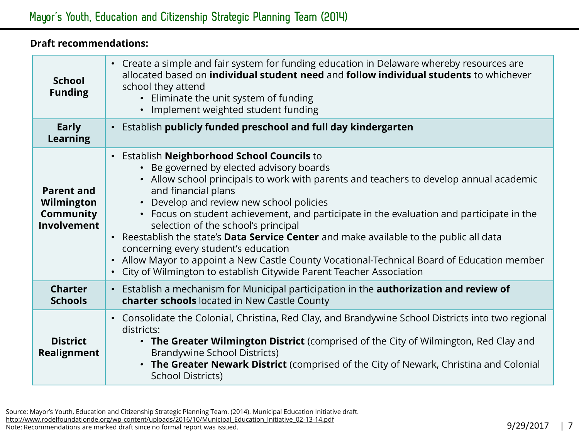### Draft recommendations:

| <b>School</b><br><b>Funding</b>                                    | • Create a simple and fair system for funding education in Delaware whereby resources are<br>allocated based on <i>individual</i> student need and follow individual students to whichever<br>school they attend<br>• Eliminate the unit system of funding<br>Implement weighted student funding<br>$\bullet$                                                                                                                                                                                                                                                                                                                                                                                                                     |
|--------------------------------------------------------------------|-----------------------------------------------------------------------------------------------------------------------------------------------------------------------------------------------------------------------------------------------------------------------------------------------------------------------------------------------------------------------------------------------------------------------------------------------------------------------------------------------------------------------------------------------------------------------------------------------------------------------------------------------------------------------------------------------------------------------------------|
| Early<br><b>Learning</b>                                           | Establish publicly funded preschool and full day kindergarten<br>$\bullet$                                                                                                                                                                                                                                                                                                                                                                                                                                                                                                                                                                                                                                                        |
| <b>Parent and</b><br>Wilmington<br>Community<br><b>Involvement</b> | • Establish Neighborhood School Councils to<br>Be governed by elected advisory boards<br>• Allow school principals to work with parents and teachers to develop annual academic<br>and financial plans<br>• Develop and review new school policies<br>• Focus on student achievement, and participate in the evaluation and participate in the<br>selection of the school's principal<br>Reestablish the state's Data Service Center and make available to the public all data<br>$\bullet$<br>concerning every student's education<br>Allow Mayor to appoint a New Castle County Vocational-Technical Board of Education member<br>$\bullet$<br>City of Wilmington to establish Citywide Parent Teacher Association<br>$\bullet$ |
| <b>Charter</b><br><b>Schools</b>                                   | Establish a mechanism for Municipal participation in the <b>authorization and review of</b><br>$\bullet$<br>charter schools located in New Castle County                                                                                                                                                                                                                                                                                                                                                                                                                                                                                                                                                                          |
| <b>District</b><br>Realignment                                     | • Consolidate the Colonial, Christina, Red Clay, and Brandywine School Districts into two regional<br>districts:<br>• The Greater Wilmington District (comprised of the City of Wilmington, Red Clay and<br>Brandywine School Districts)<br>The Greater Newark District (comprised of the City of Newark, Christina and Colonial<br><b>School Districts)</b>                                                                                                                                                                                                                                                                                                                                                                      |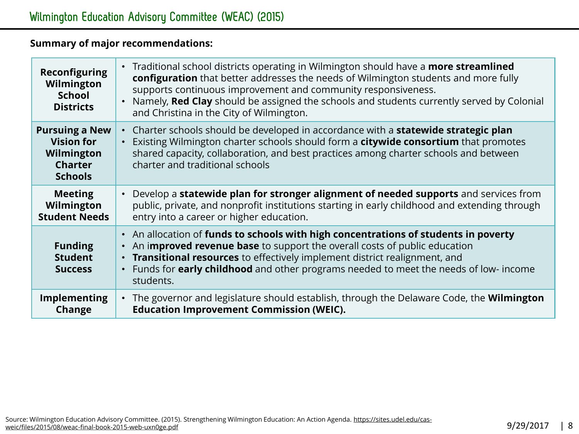### Summary of major recommendations:

| <b>Reconfiguring</b><br>Wilmington<br><b>School</b><br><b>Districts</b>                      | Traditional school districts operating in Wilmington should have a <b>more streamlined</b><br>configuration that better addresses the needs of Wilmington students and more fully<br>supports continuous improvement and community responsiveness.<br>Namely, Red Clay should be assigned the schools and students currently served by Colonial<br>and Christina in the City of Wilmington. |
|----------------------------------------------------------------------------------------------|---------------------------------------------------------------------------------------------------------------------------------------------------------------------------------------------------------------------------------------------------------------------------------------------------------------------------------------------------------------------------------------------|
| <b>Pursuing a New</b><br><b>Vision for</b><br>Wilmington<br><b>Charter</b><br><b>Schools</b> | Charter schools should be developed in accordance with a <b>statewide strategic plan</b><br>$\bullet$<br>Existing Wilmington charter schools should form a citywide consortium that promotes<br>$\bullet$<br>shared capacity, collaboration, and best practices among charter schools and between<br>charter and traditional schools                                                        |
| <b>Meeting</b><br>Wilmington<br><b>Student Needs</b>                                         | Develop a statewide plan for stronger alignment of needed supports and services from<br>public, private, and nonprofit institutions starting in early childhood and extending through<br>entry into a career or higher education.                                                                                                                                                           |
| <b>Funding</b><br><b>Student</b><br><b>Success</b>                                           | • An allocation of funds to schools with high concentrations of students in poverty<br>An improved revenue base to support the overall costs of public education<br>$\bullet$<br>Transitional resources to effectively implement district realignment, and<br>Funds for early childhood and other programs needed to meet the needs of low- income<br>$\bullet$<br>students.                |
| Implementing<br>Change                                                                       | The governor and legislature should establish, through the Delaware Code, the <b>Wilmington</b><br>$\bullet$<br><b>Education Improvement Commission (WEIC).</b>                                                                                                                                                                                                                             |